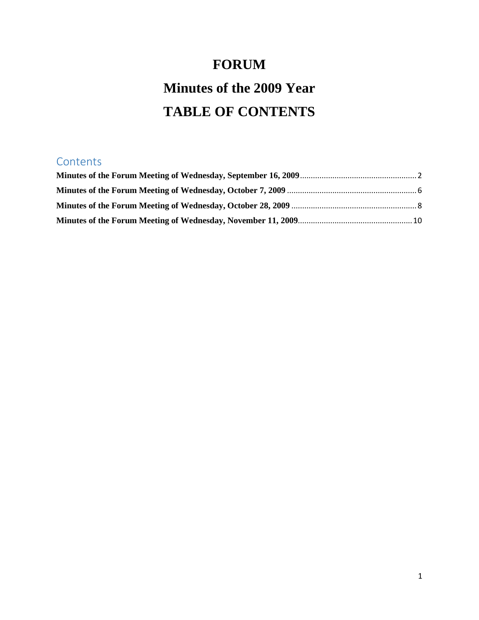# **FORUM Minutes of the 2009 Year TABLE OF CONTENTS**

# **Contents**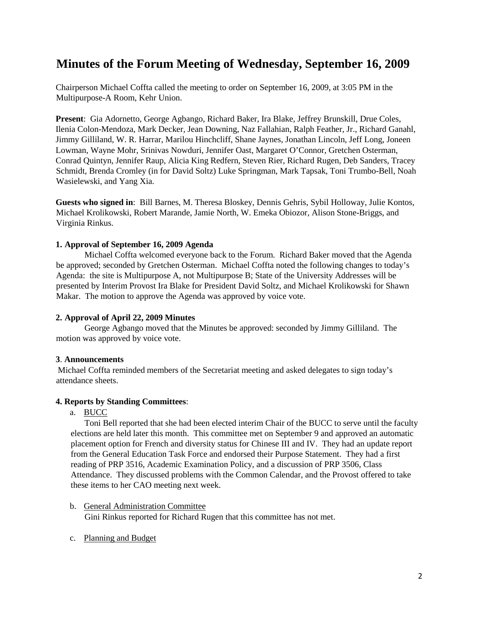# <span id="page-1-0"></span>**Minutes of the Forum Meeting of Wednesday, September 16, 2009**

Chairperson Michael Coffta called the meeting to order on September 16, 2009, at 3:05 PM in the Multipurpose-A Room, Kehr Union.

**Present**: Gia Adornetto, George Agbango, Richard Baker, Ira Blake, Jeffrey Brunskill, Drue Coles, Ilenia Colon-Mendoza, Mark Decker, Jean Downing, Naz Fallahian, Ralph Feather, Jr., Richard Ganahl, Jimmy Gilliland, W. R. Harrar, Marilou Hinchcliff, Shane Jaynes, Jonathan Lincoln, Jeff Long, Joneen Lowman, Wayne Mohr, Srinivas Nowduri, Jennifer Oast, Margaret O'Connor, Gretchen Osterman, Conrad Quintyn, Jennifer Raup, Alicia King Redfern, Steven Rier, Richard Rugen, Deb Sanders, Tracey Schmidt, Brenda Cromley (in for David Soltz) Luke Springman, Mark Tapsak, Toni Trumbo-Bell, Noah Wasielewski, and Yang Xia.

**Guests who signed in**: Bill Barnes, M. Theresa Bloskey, Dennis Gehris, Sybil Holloway, Julie Kontos, Michael Krolikowski, Robert Marande, Jamie North, W. Emeka Obiozor, Alison Stone-Briggs, and Virginia Rinkus.

# **1. Approval of September 16, 2009 Agenda**

Michael Coffta welcomed everyone back to the Forum. Richard Baker moved that the Agenda be approved; seconded by Gretchen Osterman. Michael Coffta noted the following changes to today's Agenda: the site is Multipurpose A, not Multipurpose B; State of the University Addresses will be presented by Interim Provost Ira Blake for President David Soltz, and Michael Krolikowski for Shawn Makar. The motion to approve the Agenda was approved by voice vote.

### **2. Approval of April 22, 2009 Minutes**

George Agbango moved that the Minutes be approved: seconded by Jimmy Gilliland. The motion was approved by voice vote.

# **3**. **Announcements**

Michael Coffta reminded members of the Secretariat meeting and asked delegates to sign today's attendance sheets.

### **4. Reports by Standing Committees**:

### a. BUCC

Toni Bell reported that she had been elected interim Chair of the BUCC to serve until the faculty elections are held later this month. This committee met on September 9 and approved an automatic placement option for French and diversity status for Chinese III and IV. They had an update report from the General Education Task Force and endorsed their Purpose Statement. They had a first reading of PRP 3516, Academic Examination Policy, and a discussion of PRP 3506, Class Attendance. They discussed problems with the Common Calendar, and the Provost offered to take these items to her CAO meeting next week.

- b. General Administration Committee Gini Rinkus reported for Richard Rugen that this committee has not met.
- c. Planning and Budget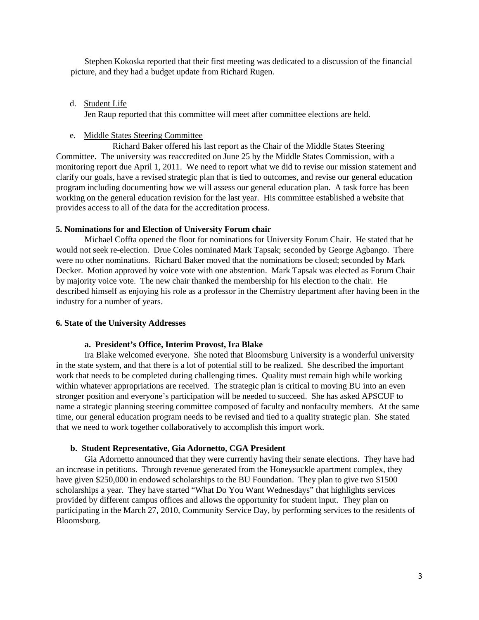Stephen Kokoska reported that their first meeting was dedicated to a discussion of the financial picture, and they had a budget update from Richard Rugen.

# d. Student Life

Jen Raup reported that this committee will meet after committee elections are held.

# e. Middle States Steering Committee

Richard Baker offered his last report as the Chair of the Middle States Steering Committee. The university was reaccredited on June 25 by the Middle States Commission, with a monitoring report due April 1, 2011. We need to report what we did to revise our mission statement and clarify our goals, have a revised strategic plan that is tied to outcomes, and revise our general education program including documenting how we will assess our general education plan. A task force has been working on the general education revision for the last year. His committee established a website that provides access to all of the data for the accreditation process.

# **5. Nominations for and Election of University Forum chair**

Michael Coffta opened the floor for nominations for University Forum Chair. He stated that he would not seek re-election. Drue Coles nominated Mark Tapsak; seconded by George Agbango. There were no other nominations. Richard Baker moved that the nominations be closed; seconded by Mark Decker. Motion approved by voice vote with one abstention. Mark Tapsak was elected as Forum Chair by majority voice vote. The new chair thanked the membership for his election to the chair. He described himself as enjoying his role as a professor in the Chemistry department after having been in the industry for a number of years.

# **6. State of the University Addresses**

# **a. President's Office, Interim Provost, Ira Blake**

Ira Blake welcomed everyone. She noted that Bloomsburg University is a wonderful university in the state system, and that there is a lot of potential still to be realized. She described the important work that needs to be completed during challenging times. Quality must remain high while working within whatever appropriations are received. The strategic plan is critical to moving BU into an even stronger position and everyone's participation will be needed to succeed. She has asked APSCUF to name a strategic planning steering committee composed of faculty and nonfaculty members. At the same time, our general education program needs to be revised and tied to a quality strategic plan. She stated that we need to work together collaboratively to accomplish this import work.

# **b. Student Representative, Gia Adornetto, CGA President**

Gia Adornetto announced that they were currently having their senate elections. They have had an increase in petitions. Through revenue generated from the Honeysuckle apartment complex, they have given \$250,000 in endowed scholarships to the BU Foundation. They plan to give two \$1500 scholarships a year. They have started "What Do You Want Wednesdays" that highlights services provided by different campus offices and allows the opportunity for student input. They plan on participating in the March 27, 2010, Community Service Day, by performing services to the residents of Bloomsburg.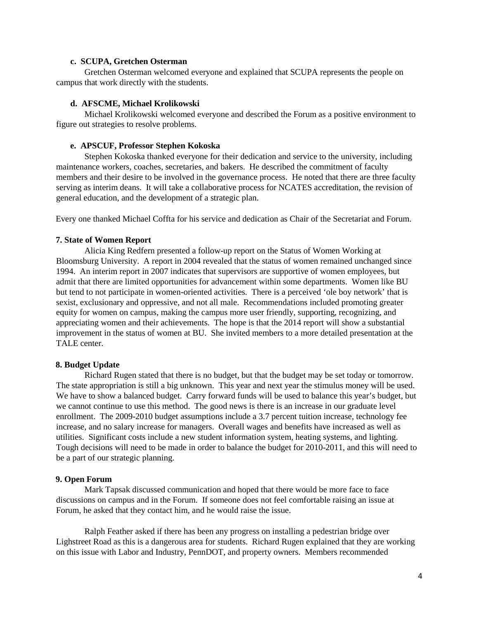### **c. SCUPA, Gretchen Osterman**

Gretchen Osterman welcomed everyone and explained that SCUPA represents the people on campus that work directly with the students.

### **d. AFSCME, Michael Krolikowski**

Michael Krolikowski welcomed everyone and described the Forum as a positive environment to figure out strategies to resolve problems.

### **e. APSCUF, Professor Stephen Kokoska**

Stephen Kokoska thanked everyone for their dedication and service to the university, including maintenance workers, coaches, secretaries, and bakers. He described the commitment of faculty members and their desire to be involved in the governance process. He noted that there are three faculty serving as interim deans. It will take a collaborative process for NCATES accreditation, the revision of general education, and the development of a strategic plan.

Every one thanked Michael Coffta for his service and dedication as Chair of the Secretariat and Forum.

#### **7. State of Women Report**

Alicia King Redfern presented a follow-up report on the Status of Women Working at Bloomsburg University. A report in 2004 revealed that the status of women remained unchanged since 1994. An interim report in 2007 indicates that supervisors are supportive of women employees, but admit that there are limited opportunities for advancement within some departments. Women like BU but tend to not participate in women-oriented activities. There is a perceived 'ole boy network' that is sexist, exclusionary and oppressive, and not all male. Recommendations included promoting greater equity for women on campus, making the campus more user friendly, supporting, recognizing, and appreciating women and their achievements. The hope is that the 2014 report will show a substantial improvement in the status of women at BU. She invited members to a more detailed presentation at the TALE center.

### **8. Budget Update**

Richard Rugen stated that there is no budget, but that the budget may be set today or tomorrow. The state appropriation is still a big unknown. This year and next year the stimulus money will be used. We have to show a balanced budget. Carry forward funds will be used to balance this year's budget, but we cannot continue to use this method. The good news is there is an increase in our graduate level enrollment. The 2009-2010 budget assumptions include a 3.7 percent tuition increase, technology fee increase, and no salary increase for managers. Overall wages and benefits have increased as well as utilities. Significant costs include a new student information system, heating systems, and lighting. Tough decisions will need to be made in order to balance the budget for 2010-2011, and this will need to be a part of our strategic planning.

### **9. Open Forum**

Mark Tapsak discussed communication and hoped that there would be more face to face discussions on campus and in the Forum. If someone does not feel comfortable raising an issue at Forum, he asked that they contact him, and he would raise the issue.

Ralph Feather asked if there has been any progress on installing a pedestrian bridge over Lighstreet Road as this is a dangerous area for students. Richard Rugen explained that they are working on this issue with Labor and Industry, PennDOT, and property owners. Members recommended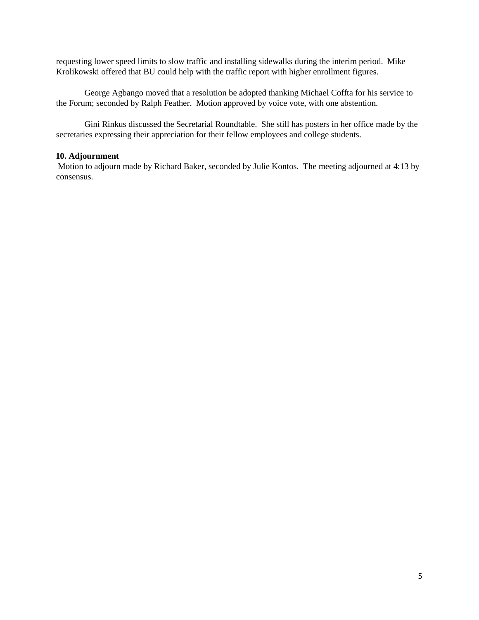requesting lower speed limits to slow traffic and installing sidewalks during the interim period. Mike Krolikowski offered that BU could help with the traffic report with higher enrollment figures.

George Agbango moved that a resolution be adopted thanking Michael Coffta for his service to the Forum; seconded by Ralph Feather. Motion approved by voice vote, with one abstention.

Gini Rinkus discussed the Secretarial Roundtable. She still has posters in her office made by the secretaries expressing their appreciation for their fellow employees and college students.

# **10. Adjournment**

Motion to adjourn made by Richard Baker, seconded by Julie Kontos. The meeting adjourned at 4:13 by consensus.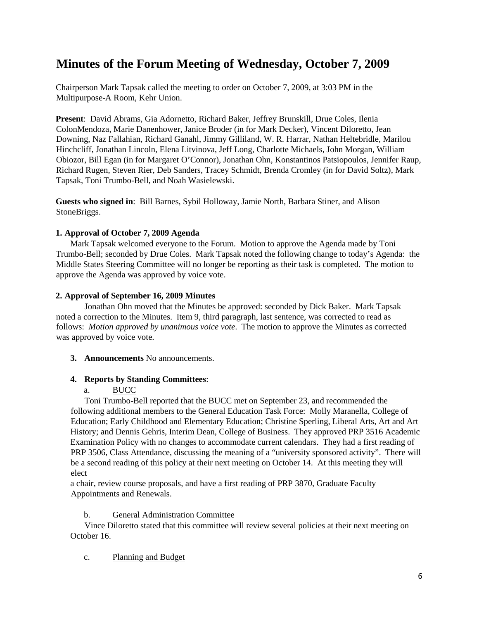# <span id="page-5-0"></span>**Minutes of the Forum Meeting of Wednesday, October 7, 2009**

Chairperson Mark Tapsak called the meeting to order on October 7, 2009, at 3:03 PM in the Multipurpose-A Room, Kehr Union.

**Present**: David Abrams, Gia Adornetto, Richard Baker, Jeffrey Brunskill, Drue Coles, Ilenia ColonMendoza, Marie Danenhower, Janice Broder (in for Mark Decker), Vincent Diloretto, Jean Downing, Naz Fallahian, Richard Ganahl, Jimmy Gilliland, W. R. Harrar, Nathan Heltebridle, Marilou Hinchcliff, Jonathan Lincoln, Elena Litvinova, Jeff Long, Charlotte Michaels, John Morgan, William Obiozor, Bill Egan (in for Margaret O'Connor), Jonathan Ohn, Konstantinos Patsiopoulos, Jennifer Raup, Richard Rugen, Steven Rier, Deb Sanders, Tracey Schmidt, Brenda Cromley (in for David Soltz), Mark Tapsak, Toni Trumbo-Bell, and Noah Wasielewski.

**Guests who signed in**: Bill Barnes, Sybil Holloway, Jamie North, Barbara Stiner, and Alison StoneBriggs.

# **1. Approval of October 7, 2009 Agenda**

Mark Tapsak welcomed everyone to the Forum. Motion to approve the Agenda made by Toni Trumbo-Bell; seconded by Drue Coles. Mark Tapsak noted the following change to today's Agenda: the Middle States Steering Committee will no longer be reporting as their task is completed. The motion to approve the Agenda was approved by voice vote.

# **2. Approval of September 16, 2009 Minutes**

Jonathan Ohn moved that the Minutes be approved: seconded by Dick Baker. Mark Tapsak noted a correction to the Minutes. Item 9, third paragraph, last sentence, was corrected to read as follows: *Motion approved by unanimous voice vote*. The motion to approve the Minutes as corrected was approved by voice vote.

# **3. Announcements** No announcements.

# **4. Reports by Standing Committees**:

# a. BUCC

Toni Trumbo-Bell reported that the BUCC met on September 23, and recommended the following additional members to the General Education Task Force: Molly Maranella, College of Education; Early Childhood and Elementary Education; Christine Sperling, Liberal Arts, Art and Art History; and Dennis Gehris, Interim Dean, College of Business. They approved PRP 3516 Academic Examination Policy with no changes to accommodate current calendars. They had a first reading of PRP 3506, Class Attendance, discussing the meaning of a "university sponsored activity". There will be a second reading of this policy at their next meeting on October 14. At this meeting they will elect

a chair, review course proposals, and have a first reading of PRP 3870, Graduate Faculty Appointments and Renewals.

# b. General Administration Committee

Vince Diloretto stated that this committee will review several policies at their next meeting on October 16.

# c. Planning and Budget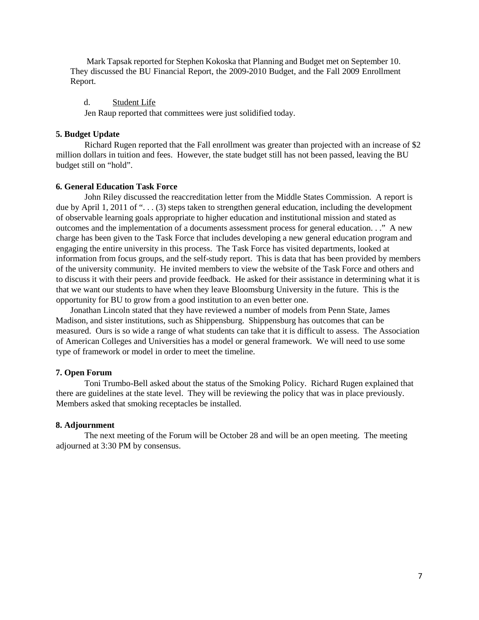Mark Tapsak reported for Stephen Kokoska that Planning and Budget met on September 10. They discussed the BU Financial Report, the 2009-2010 Budget, and the Fall 2009 Enrollment Report.

d. Student Life

Jen Raup reported that committees were just solidified today.

### **5. Budget Update**

Richard Rugen reported that the Fall enrollment was greater than projected with an increase of \$2 million dollars in tuition and fees. However, the state budget still has not been passed, leaving the BU budget still on "hold".

#### **6. General Education Task Force**

John Riley discussed the reaccreditation letter from the Middle States Commission. A report is due by April 1, 2011 of ". . . (3) steps taken to strengthen general education, including the development of observable learning goals appropriate to higher education and institutional mission and stated as outcomes and the implementation of a documents assessment process for general education. . ." A new charge has been given to the Task Force that includes developing a new general education program and engaging the entire university in this process. The Task Force has visited departments, looked at information from focus groups, and the self-study report. This is data that has been provided by members of the university community. He invited members to view the website of the Task Force and others and to discuss it with their peers and provide feedback. He asked for their assistance in determining what it is that we want our students to have when they leave Bloomsburg University in the future. This is the opportunity for BU to grow from a good institution to an even better one.

Jonathan Lincoln stated that they have reviewed a number of models from Penn State, James Madison, and sister institutions, such as Shippensburg. Shippensburg has outcomes that can be measured. Ours is so wide a range of what students can take that it is difficult to assess. The Association of American Colleges and Universities has a model or general framework. We will need to use some type of framework or model in order to meet the timeline.

#### **7. Open Forum**

Toni Trumbo-Bell asked about the status of the Smoking Policy. Richard Rugen explained that there are guidelines at the state level. They will be reviewing the policy that was in place previously. Members asked that smoking receptacles be installed.

#### **8. Adjournment**

The next meeting of the Forum will be October 28 and will be an open meeting. The meeting adjourned at 3:30 PM by consensus.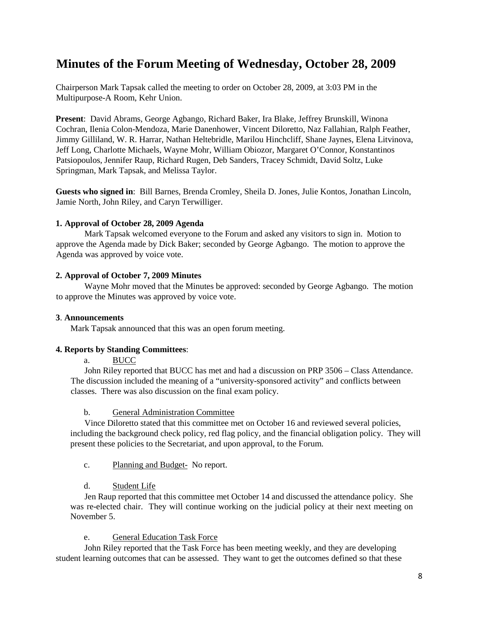# <span id="page-7-0"></span>**Minutes of the Forum Meeting of Wednesday, October 28, 2009**

Chairperson Mark Tapsak called the meeting to order on October 28, 2009, at 3:03 PM in the Multipurpose-A Room, Kehr Union.

**Present**: David Abrams, George Agbango, Richard Baker, Ira Blake, Jeffrey Brunskill, Winona Cochran, Ilenia Colon-Mendoza, Marie Danenhower, Vincent Diloretto, Naz Fallahian, Ralph Feather, Jimmy Gilliland, W. R. Harrar, Nathan Heltebridle, Marilou Hinchcliff, Shane Jaynes, Elena Litvinova, Jeff Long, Charlotte Michaels, Wayne Mohr, William Obiozor, Margaret O'Connor, Konstantinos Patsiopoulos, Jennifer Raup, Richard Rugen, Deb Sanders, Tracey Schmidt, David Soltz, Luke Springman, Mark Tapsak, and Melissa Taylor.

**Guests who signed in**: Bill Barnes, Brenda Cromley, Sheila D. Jones, Julie Kontos, Jonathan Lincoln, Jamie North, John Riley, and Caryn Terwilliger.

# **1. Approval of October 28, 2009 Agenda**

Mark Tapsak welcomed everyone to the Forum and asked any visitors to sign in. Motion to approve the Agenda made by Dick Baker; seconded by George Agbango. The motion to approve the Agenda was approved by voice vote.

# **2. Approval of October 7, 2009 Minutes**

Wayne Mohr moved that the Minutes be approved: seconded by George Agbango. The motion to approve the Minutes was approved by voice vote.

# **3**. **Announcements**

Mark Tapsak announced that this was an open forum meeting.

# **4. Reports by Standing Committees**:

a. BUCC

John Riley reported that BUCC has met and had a discussion on PRP 3506 – Class Attendance. The discussion included the meaning of a "university-sponsored activity" and conflicts between classes. There was also discussion on the final exam policy.

# b. General Administration Committee

Vince Diloretto stated that this committee met on October 16 and reviewed several policies, including the background check policy, red flag policy, and the financial obligation policy. They will present these policies to the Secretariat, and upon approval, to the Forum.

# c. Planning and Budget- No report.

# d. Student Life

Jen Raup reported that this committee met October 14 and discussed the attendance policy. She was re-elected chair. They will continue working on the judicial policy at their next meeting on November 5.

# e. General Education Task Force

John Riley reported that the Task Force has been meeting weekly, and they are developing student learning outcomes that can be assessed. They want to get the outcomes defined so that these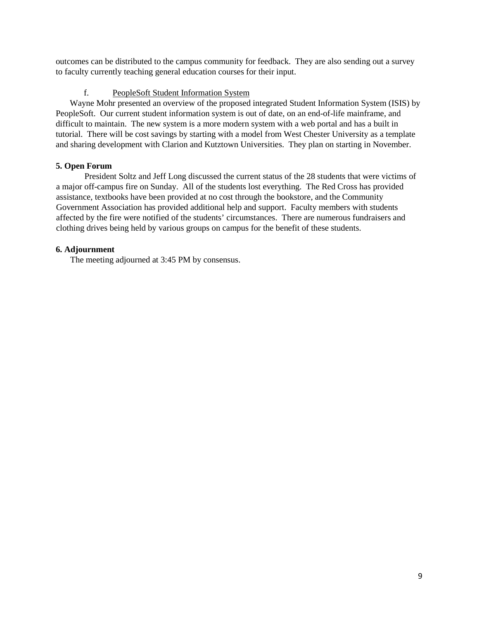outcomes can be distributed to the campus community for feedback. They are also sending out a survey to faculty currently teaching general education courses for their input.

# f. PeopleSoft Student Information System

Wayne Mohr presented an overview of the proposed integrated Student Information System (ISIS) by PeopleSoft. Our current student information system is out of date, on an end-of-life mainframe, and difficult to maintain. The new system is a more modern system with a web portal and has a built in tutorial. There will be cost savings by starting with a model from West Chester University as a template and sharing development with Clarion and Kutztown Universities. They plan on starting in November.

# **5. Open Forum**

President Soltz and Jeff Long discussed the current status of the 28 students that were victims of a major off-campus fire on Sunday. All of the students lost everything. The Red Cross has provided assistance, textbooks have been provided at no cost through the bookstore, and the Community Government Association has provided additional help and support. Faculty members with students affected by the fire were notified of the students' circumstances. There are numerous fundraisers and clothing drives being held by various groups on campus for the benefit of these students.

# **6. Adjournment**

The meeting adjourned at 3:45 PM by consensus.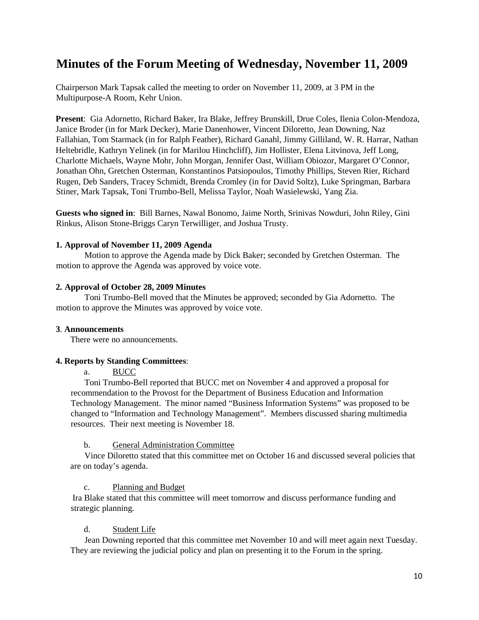# <span id="page-9-0"></span>**Minutes of the Forum Meeting of Wednesday, November 11, 2009**

Chairperson Mark Tapsak called the meeting to order on November 11, 2009, at 3 PM in the Multipurpose-A Room, Kehr Union.

**Present**: Gia Adornetto, Richard Baker, Ira Blake, Jeffrey Brunskill, Drue Coles, Ilenia Colon-Mendoza, Janice Broder (in for Mark Decker), Marie Danenhower, Vincent Diloretto, Jean Downing, Naz Fallahian, Tom Starmack (in for Ralph Feather), Richard Ganahl, Jimmy Gilliland, W. R. Harrar, Nathan Heltebridle, Kathryn Yelinek (in for Marilou Hinchcliff), Jim Hollister, Elena Litvinova, Jeff Long, Charlotte Michaels, Wayne Mohr, John Morgan, Jennifer Oast, William Obiozor, Margaret O'Connor, Jonathan Ohn, Gretchen Osterman, Konstantinos Patsiopoulos, Timothy Phillips, Steven Rier, Richard Rugen, Deb Sanders, Tracey Schmidt, Brenda Cromley (in for David Soltz), Luke Springman, Barbara Stiner, Mark Tapsak, Toni Trumbo-Bell, Melissa Taylor, Noah Wasielewski, Yang Zia.

**Guests who signed in**: Bill Barnes, Nawal Bonomo, Jaime North, Srinivas Nowduri, John Riley, Gini Rinkus, Alison Stone-Briggs Caryn Terwilliger, and Joshua Trusty.

# **1. Approval of November 11, 2009 Agenda**

Motion to approve the Agenda made by Dick Baker; seconded by Gretchen Osterman. The motion to approve the Agenda was approved by voice vote.

### **2. Approval of October 28, 2009 Minutes**

Toni Trumbo-Bell moved that the Minutes be approved; seconded by Gia Adornetto. The motion to approve the Minutes was approved by voice vote.

### **3**. **Announcements**

There were no announcements.

### **4. Reports by Standing Committees**:

a. BUCC

Toni Trumbo-Bell reported that BUCC met on November 4 and approved a proposal for recommendation to the Provost for the Department of Business Education and Information Technology Management. The minor named "Business Information Systems" was proposed to be changed to "Information and Technology Management". Members discussed sharing multimedia resources. Their next meeting is November 18.

### b. General Administration Committee

Vince Diloretto stated that this committee met on October 16 and discussed several policies that are on today's agenda.

# c. Planning and Budget

Ira Blake stated that this committee will meet tomorrow and discuss performance funding and strategic planning.

# d. Student Life

Jean Downing reported that this committee met November 10 and will meet again next Tuesday. They are reviewing the judicial policy and plan on presenting it to the Forum in the spring.